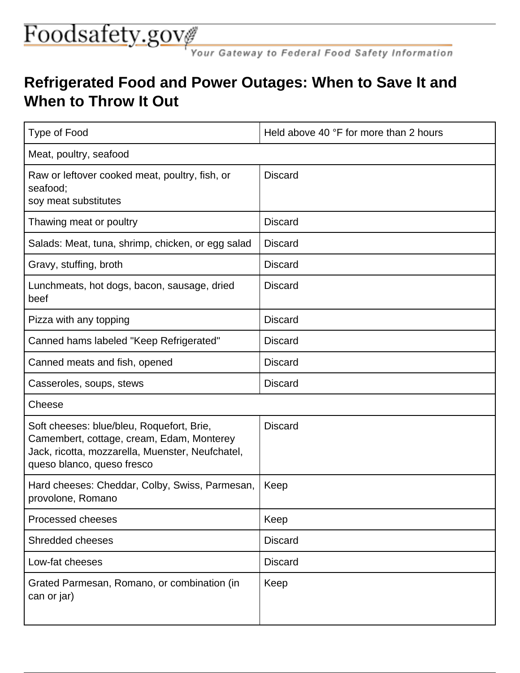## Foodsafety.gover Gateway to Federal Food Safety Information

## **Refrigerated Food and Power Outages: When to Save It and When to Throw It Out**

| <b>Type of Food</b>                                                                                                                                                      | Held above 40 °F for more than 2 hours |  |
|--------------------------------------------------------------------------------------------------------------------------------------------------------------------------|----------------------------------------|--|
| Meat, poultry, seafood                                                                                                                                                   |                                        |  |
| Raw or leftover cooked meat, poultry, fish, or<br>seafood;<br>soy meat substitutes                                                                                       | <b>Discard</b>                         |  |
| Thawing meat or poultry                                                                                                                                                  | <b>Discard</b>                         |  |
| Salads: Meat, tuna, shrimp, chicken, or egg salad                                                                                                                        | <b>Discard</b>                         |  |
| Gravy, stuffing, broth                                                                                                                                                   | <b>Discard</b>                         |  |
| Lunchmeats, hot dogs, bacon, sausage, dried<br>beef                                                                                                                      | <b>Discard</b>                         |  |
| Pizza with any topping                                                                                                                                                   | <b>Discard</b>                         |  |
| Canned hams labeled "Keep Refrigerated"                                                                                                                                  | <b>Discard</b>                         |  |
| Canned meats and fish, opened                                                                                                                                            | <b>Discard</b>                         |  |
| Casseroles, soups, stews                                                                                                                                                 | <b>Discard</b>                         |  |
| Cheese                                                                                                                                                                   |                                        |  |
| Soft cheeses: blue/bleu, Roquefort, Brie,<br>Camembert, cottage, cream, Edam, Monterey<br>Jack, ricotta, mozzarella, Muenster, Neufchatel,<br>queso blanco, queso fresco | <b>Discard</b>                         |  |
| Hard cheeses: Cheddar, Colby, Swiss, Parmesan,<br>provolone, Romano                                                                                                      | Keep                                   |  |
| Processed cheeses                                                                                                                                                        | Keep                                   |  |
| Shredded cheeses                                                                                                                                                         | <b>Discard</b>                         |  |
| Low-fat cheeses                                                                                                                                                          | <b>Discard</b>                         |  |
| Grated Parmesan, Romano, or combination (in<br>can or jar)                                                                                                               | Keep                                   |  |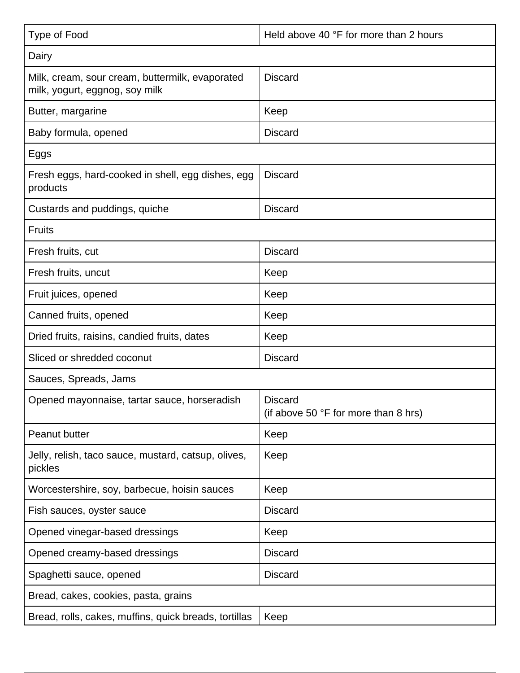| <b>Type of Food</b>                                                               | Held above 40 °F for more than 2 hours                 |  |
|-----------------------------------------------------------------------------------|--------------------------------------------------------|--|
| Dairy                                                                             |                                                        |  |
| Milk, cream, sour cream, buttermilk, evaporated<br>milk, yogurt, eggnog, soy milk | <b>Discard</b>                                         |  |
| Butter, margarine                                                                 | Keep                                                   |  |
| Baby formula, opened                                                              | <b>Discard</b>                                         |  |
| Eggs                                                                              |                                                        |  |
| Fresh eggs, hard-cooked in shell, egg dishes, egg<br>products                     | <b>Discard</b>                                         |  |
| Custards and puddings, quiche                                                     | <b>Discard</b>                                         |  |
| <b>Fruits</b>                                                                     |                                                        |  |
| Fresh fruits, cut                                                                 | <b>Discard</b>                                         |  |
| Fresh fruits, uncut                                                               | Keep                                                   |  |
| Fruit juices, opened                                                              | Keep                                                   |  |
| Canned fruits, opened                                                             | Keep                                                   |  |
| Dried fruits, raisins, candied fruits, dates                                      | Keep                                                   |  |
| Sliced or shredded coconut                                                        | <b>Discard</b>                                         |  |
| Sauces, Spreads, Jams                                                             |                                                        |  |
| Opened mayonnaise, tartar sauce, horseradish                                      | <b>Discard</b><br>(if above 50 °F for more than 8 hrs) |  |
| Peanut butter                                                                     | Keep                                                   |  |
| Jelly, relish, taco sauce, mustard, catsup, olives,<br>pickles                    | Keep                                                   |  |
| Worcestershire, soy, barbecue, hoisin sauces                                      | Keep                                                   |  |
| Fish sauces, oyster sauce                                                         | <b>Discard</b>                                         |  |
| Opened vinegar-based dressings                                                    | Keep                                                   |  |
| Opened creamy-based dressings                                                     | <b>Discard</b>                                         |  |
| Spaghetti sauce, opened                                                           | <b>Discard</b>                                         |  |
| Bread, cakes, cookies, pasta, grains                                              |                                                        |  |
| Bread, rolls, cakes, muffins, quick breads, tortillas                             | Keep                                                   |  |